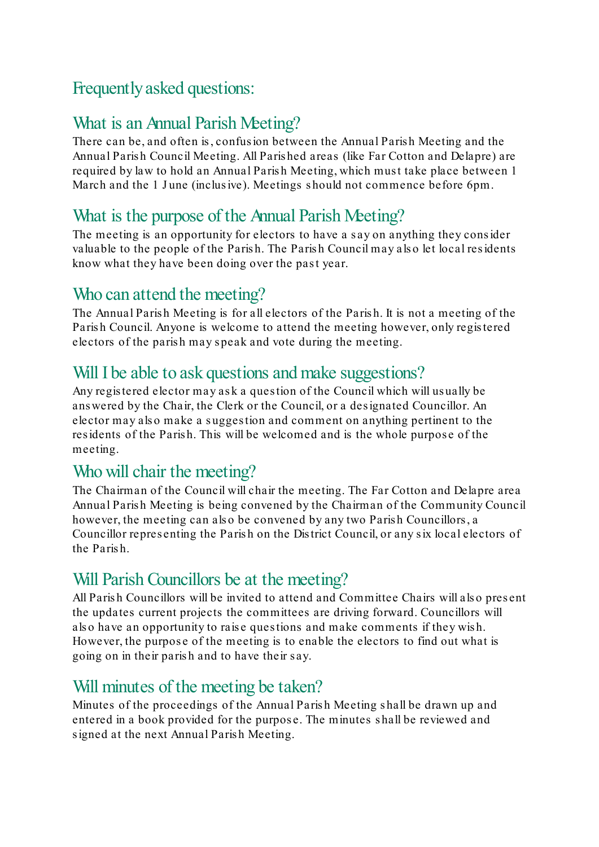# Frequently asked questions:

#### What is an Annual Parish Meeting?

There can be, and often is , confus ion between the Annual Paris h Meeting and the Annual Paris h Council Meeting. All Paris hed areas (like Far Cotton and Delapre) are required by law to hold an Annual Parish Meeting, which must take place between 1 March and the 1 June (inclusive). Meetings should not commence before 6pm.

## What is the purpose of the Annual Parish Meeting?

The meeting is an opportunity for electors to have a say on anything they consider valuable to the people of the Parish. The Parish Council may also let local residents know what they have been doing over the past year.

## Who can attend the meeting?

The Annual Paris h Meeting is for all electors of the Paris h. It is not a meeting of the Paris h Council. Anyone is welcome to attend the meeting however, only regis tered electors of the paris h may s peak and vote during the meeting.

## Will I be able to ask questions and make suggestions?

Any regis tered elector may as k a ques tion of the Council which will us ually be ans wered by the Chair, the Clerk or the Council, or a des ignated Councillor. An elector may als o make a s ugges tion and comment on anything pertinent to the res idents of the Paris h. This will be welcomed and is the whole purpos e of the meeting.

#### Who will chair the meeting?

The Chairman of the Council will chair the meeting. The Far Cotton and Delapre area Annual Paris h Meeting is being convened by the Chairman of the Community Council however, the meeting can also be convened by any two Parish Councillors, a Councillor representing the Parish on the District Council, or any six local electors of the Paris h.

## Will Parish Councillors be at the meeting?

All Paris h Councillors will be invited to attend and Committee Chairs will als o pres ent the updates current projects the committees are driving forward. Councillors will also have an opportunity to raise questions and make comments if they wish. However, the purpose of the meeting is to enable the electors to find out what is going on in their paris h and to have their s ay.

#### Will minutes of the meeting be taken?

Minutes of the proceedings of the Annual Paris h Meeting s hall be drawn up and entered in a book provided for the purpos e. The minutes s hall be reviewed and signed at the next Annual Parish Meeting.